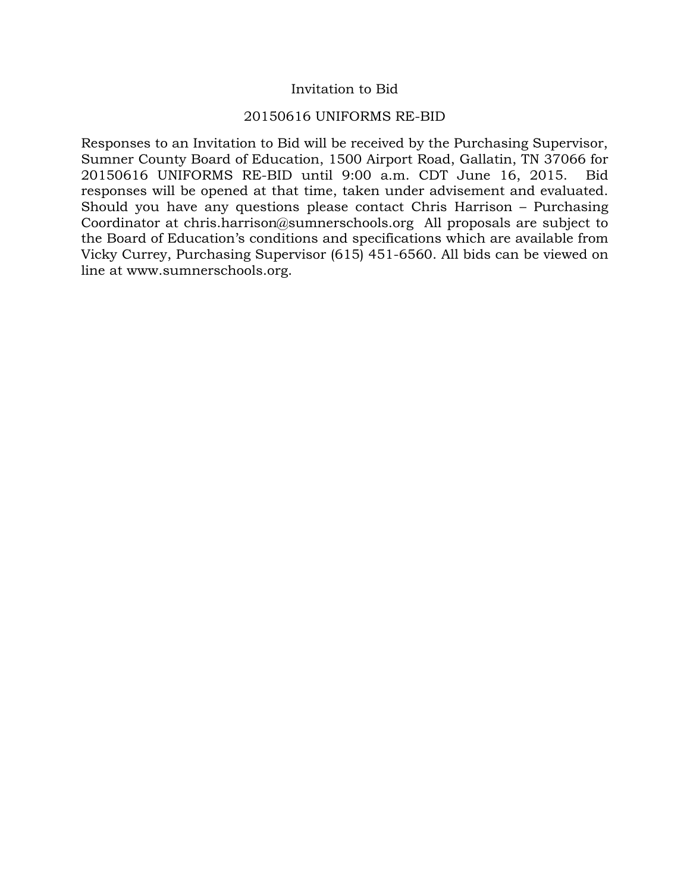### Invitation to Bid

#### 20150616 UNIFORMS RE-BID

Responses to an Invitation to Bid will be received by the Purchasing Supervisor, Sumner County Board of Education, 1500 Airport Road, Gallatin, TN 37066 for 20150616 UNIFORMS RE-BID until 9:00 a.m. CDT June 16, 2015. Bid responses will be opened at that time, taken under advisement and evaluated. Should you have any questions please contact Chris Harrison – Purchasing Coordinator at chris.harrison@sumnerschools.org All proposals are subject to the Board of Education's conditions and specifications which are available from Vicky Currey, Purchasing Supervisor (615) 451-6560. All bids can be viewed on line at www.sumnerschools.org.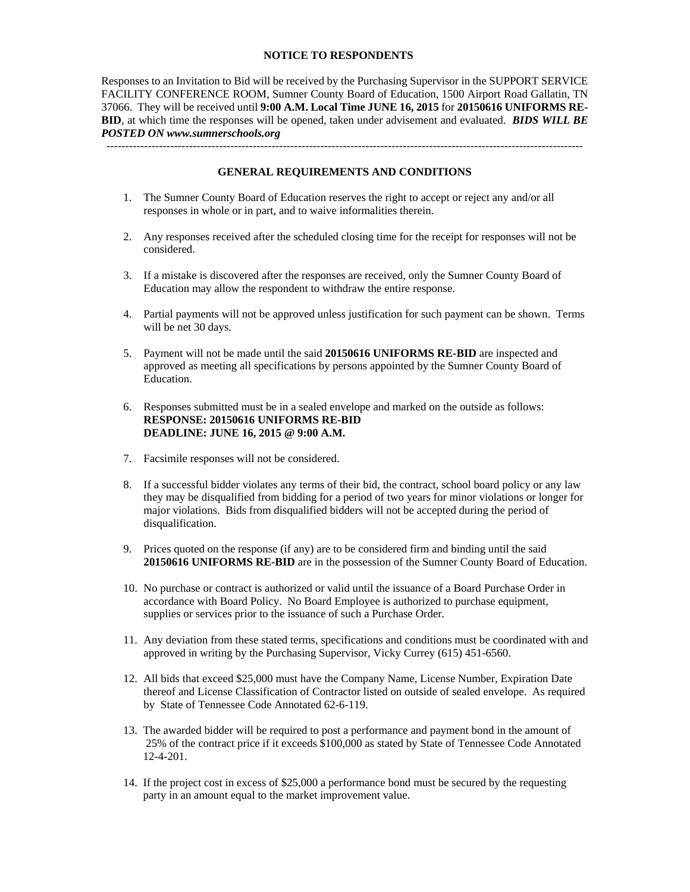#### **NOTICE TO RESPONDENTS**

Responses to an Invitation to Bid will be received by the Purchasing Supervisor in the SUPPORT SERVICE FACILITY CONFERENCE ROOM, Sumner County Board of Education, 1500 Airport Road Gallatin, TN 37066. They will be received until **9:00 A.M. Local Time JUNE 16, 2015** for **20150616 UNIFORMS RE-BID**, at which time the responses will be opened, taken under advisement and evaluated. *BIDS WILL BE POSTED ON www.sumnerschools.org* 

**GENERAL REQUIREMENTS AND CONDITIONS** 

-------------------------------------------------------------------------------------------------------------------------------

- 1. The Sumner County Board of Education reserves the right to accept or reject any and/or all responses in whole or in part, and to waive informalities therein.
- 2. Any responses received after the scheduled closing time for the receipt for responses will not be considered.
- 3. If a mistake is discovered after the responses are received, only the Sumner County Board of Education may allow the respondent to withdraw the entire response.
- 4. Partial payments will not be approved unless justification for such payment can be shown. Terms will be net 30 days.
- 5. Payment will not be made until the said **20150616 UNIFORMS RE-BID** are inspected and approved as meeting all specifications by persons appointed by the Sumner County Board of Education.
- 6. Responses submitted must be in a sealed envelope and marked on the outside as follows: **RESPONSE: 20150616 UNIFORMS RE-BID DEADLINE: JUNE 16, 2015 @ 9:00 A.M.**
- 7. Facsimile responses will not be considered.
- 8. If a successful bidder violates any terms of their bid, the contract, school board policy or any law they may be disqualified from bidding for a period of two years for minor violations or longer for major violations. Bids from disqualified bidders will not be accepted during the period of disqualification.
- 9. Prices quoted on the response (if any) are to be considered firm and binding until the said **20150616 UNIFORMS RE-BID** are in the possession of the Sumner County Board of Education.
- 10. No purchase or contract is authorized or valid until the issuance of a Board Purchase Order in accordance with Board Policy. No Board Employee is authorized to purchase equipment, supplies or services prior to the issuance of such a Purchase Order.
- 11. Any deviation from these stated terms, specifications and conditions must be coordinated with and approved in writing by the Purchasing Supervisor, Vicky Currey (615) 451-6560.
- 12. All bids that exceed \$25,000 must have the Company Name, License Number, Expiration Date thereof and License Classification of Contractor listed on outside of sealed envelope. As required by State of Tennessee Code Annotated 62-6-119.
- 13. The awarded bidder will be required to post a performance and payment bond in the amount of 25% of the contract price if it exceeds \$100,000 as stated by State of Tennessee Code Annotated 12-4-201.
- 14. If the project cost in excess of \$25,000 a performance bond must be secured by the requesting party in an amount equal to the market improvement value.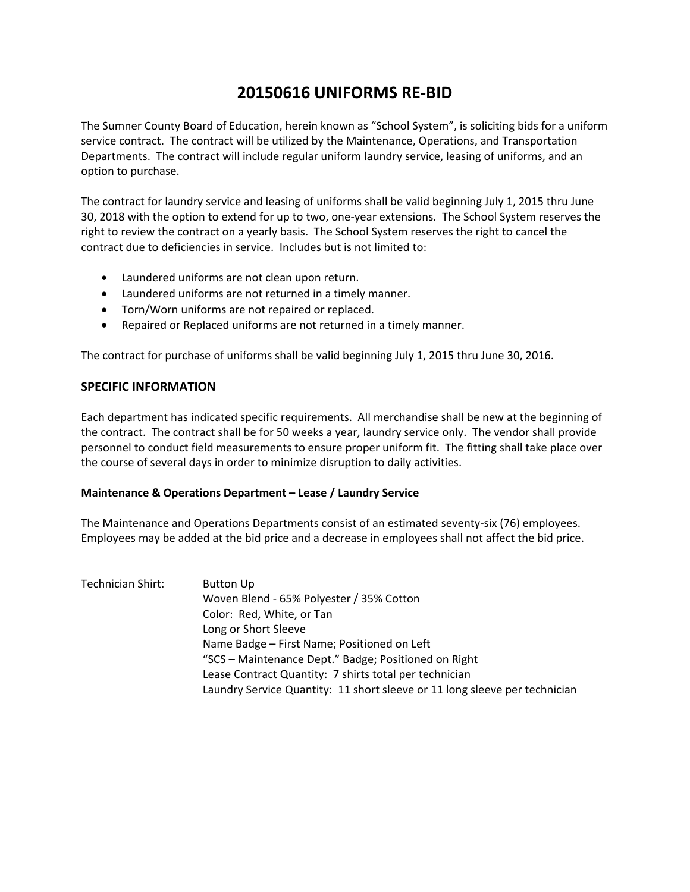# **20150616 UNIFORMS RE‐BID**

The Sumner County Board of Education, herein known as "School System", is soliciting bids for a uniform service contract. The contract will be utilized by the Maintenance, Operations, and Transportation Departments. The contract will include regular uniform laundry service, leasing of uniforms, and an option to purchase.

The contract for laundry service and leasing of uniforms shall be valid beginning July 1, 2015 thru June 30, 2018 with the option to extend for up to two, one‐year extensions. The School System reserves the right to review the contract on a yearly basis. The School System reserves the right to cancel the contract due to deficiencies in service. Includes but is not limited to:

- Laundered uniforms are not clean upon return.
- Laundered uniforms are not returned in a timely manner.
- Torn/Worn uniforms are not repaired or replaced.
- Repaired or Replaced uniforms are not returned in a timely manner.

The contract for purchase of uniforms shall be valid beginning July 1, 2015 thru June 30, 2016.

#### **SPECIFIC INFORMATION**

Each department has indicated specific requirements. All merchandise shall be new at the beginning of the contract. The contract shall be for 50 weeks a year, laundry service only. The vendor shall provide personnel to conduct field measurements to ensure proper uniform fit. The fitting shall take place over the course of several days in order to minimize disruption to daily activities.

#### **Maintenance & Operations Department – Lease / Laundry Service**

The Maintenance and Operations Departments consist of an estimated seventy‐six (76) employees. Employees may be added at the bid price and a decrease in employees shall not affect the bid price.

| Technician Shirt: | <b>Button Up</b>                                                           |
|-------------------|----------------------------------------------------------------------------|
|                   | Woven Blend - 65% Polyester / 35% Cotton                                   |
|                   | Color: Red, White, or Tan                                                  |
|                   | Long or Short Sleeve                                                       |
|                   | Name Badge - First Name; Positioned on Left                                |
|                   | "SCS - Maintenance Dept." Badge; Positioned on Right                       |
|                   | Lease Contract Quantity: 7 shirts total per technician                     |
|                   | Laundry Service Quantity: 11 short sleeve or 11 long sleeve per technician |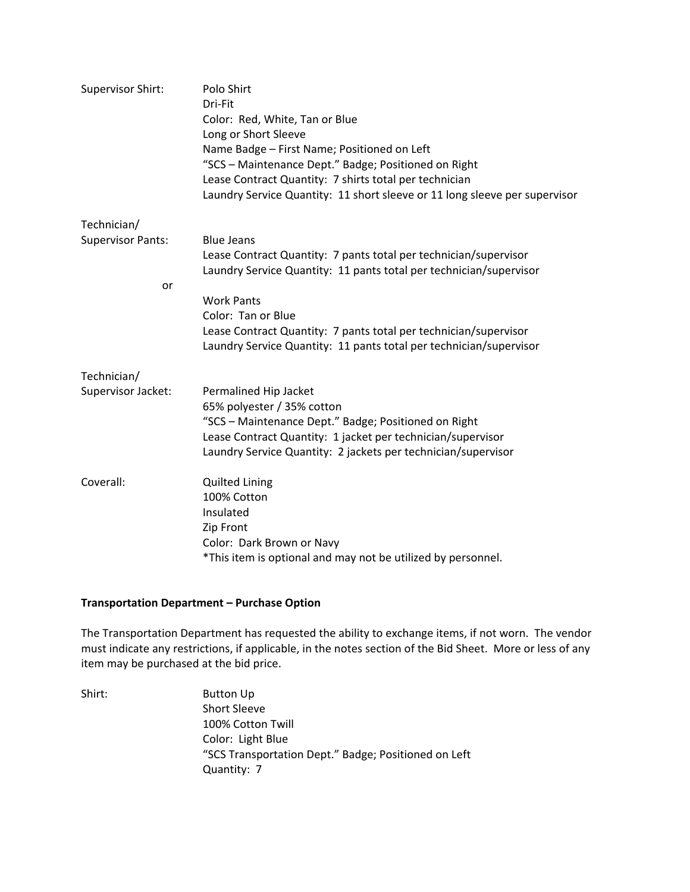| <b>Supervisor Shirt:</b> | Polo Shirt<br>Dri-Fit<br>Color: Red, White, Tan or Blue<br>Long or Short Sleeve<br>Name Badge - First Name; Positioned on Left<br>"SCS - Maintenance Dept." Badge; Positioned on Right<br>Lease Contract Quantity: 7 shirts total per technician<br>Laundry Service Quantity: 11 short sleeve or 11 long sleeve per supervisor |
|--------------------------|--------------------------------------------------------------------------------------------------------------------------------------------------------------------------------------------------------------------------------------------------------------------------------------------------------------------------------|
| Technician/              |                                                                                                                                                                                                                                                                                                                                |
| <b>Supervisor Pants:</b> | <b>Blue Jeans</b>                                                                                                                                                                                                                                                                                                              |
|                          | Lease Contract Quantity: 7 pants total per technician/supervisor<br>Laundry Service Quantity: 11 pants total per technician/supervisor                                                                                                                                                                                         |
| or                       |                                                                                                                                                                                                                                                                                                                                |
|                          | <b>Work Pants</b>                                                                                                                                                                                                                                                                                                              |
|                          | Color: Tan or Blue                                                                                                                                                                                                                                                                                                             |
|                          | Lease Contract Quantity: 7 pants total per technician/supervisor                                                                                                                                                                                                                                                               |
|                          | Laundry Service Quantity: 11 pants total per technician/supervisor                                                                                                                                                                                                                                                             |
| Technician/              |                                                                                                                                                                                                                                                                                                                                |
| Supervisor Jacket:       | Permalined Hip Jacket                                                                                                                                                                                                                                                                                                          |
|                          | 65% polyester / 35% cotton                                                                                                                                                                                                                                                                                                     |
|                          | "SCS - Maintenance Dept." Badge; Positioned on Right                                                                                                                                                                                                                                                                           |
|                          | Lease Contract Quantity: 1 jacket per technician/supervisor                                                                                                                                                                                                                                                                    |
|                          | Laundry Service Quantity: 2 jackets per technician/supervisor                                                                                                                                                                                                                                                                  |
| Coverall:                | <b>Quilted Lining</b>                                                                                                                                                                                                                                                                                                          |
|                          | 100% Cotton                                                                                                                                                                                                                                                                                                                    |
|                          | Insulated                                                                                                                                                                                                                                                                                                                      |
|                          | Zip Front                                                                                                                                                                                                                                                                                                                      |
|                          | Color: Dark Brown or Navy                                                                                                                                                                                                                                                                                                      |
|                          | *This item is optional and may not be utilized by personnel.                                                                                                                                                                                                                                                                   |

#### **Transportation Department – Purchase Option**

The Transportation Department has requested the ability to exchange items, if not worn. The vendor must indicate any restrictions, if applicable, in the notes section of the Bid Sheet. More or less of any item may be purchased at the bid price.

Shirt: Button Up Short Sleeve 100% Cotton Twill Color: Light Blue "SCS Transportation Dept." Badge; Positioned on Left Quantity: 7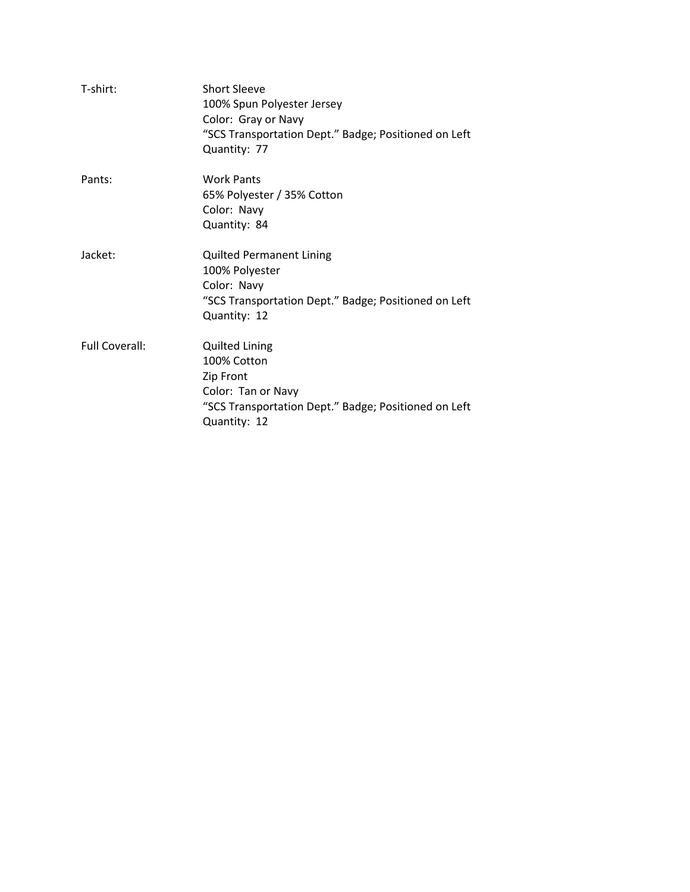| T-shirt:              | <b>Short Sleeve</b><br>100% Spun Polyester Jersey<br>Color: Gray or Navy<br>"SCS Transportation Dept." Badge; Positioned on Left<br>Quantity: 77 |
|-----------------------|--------------------------------------------------------------------------------------------------------------------------------------------------|
| Pants:                | <b>Work Pants</b><br>65% Polyester / 35% Cotton<br>Color: Navy<br>Quantity: 84                                                                   |
| Jacket:               | <b>Quilted Permanent Lining</b><br>100% Polyester<br>Color: Navy<br>"SCS Transportation Dept." Badge; Positioned on Left<br>Quantity: 12         |
| <b>Full Coverall:</b> | <b>Quilted Lining</b><br>100% Cotton<br>Zip Front<br>Color: Tan or Navy<br>"SCS Transportation Dept." Badge; Positioned on Left<br>Quantity: 12  |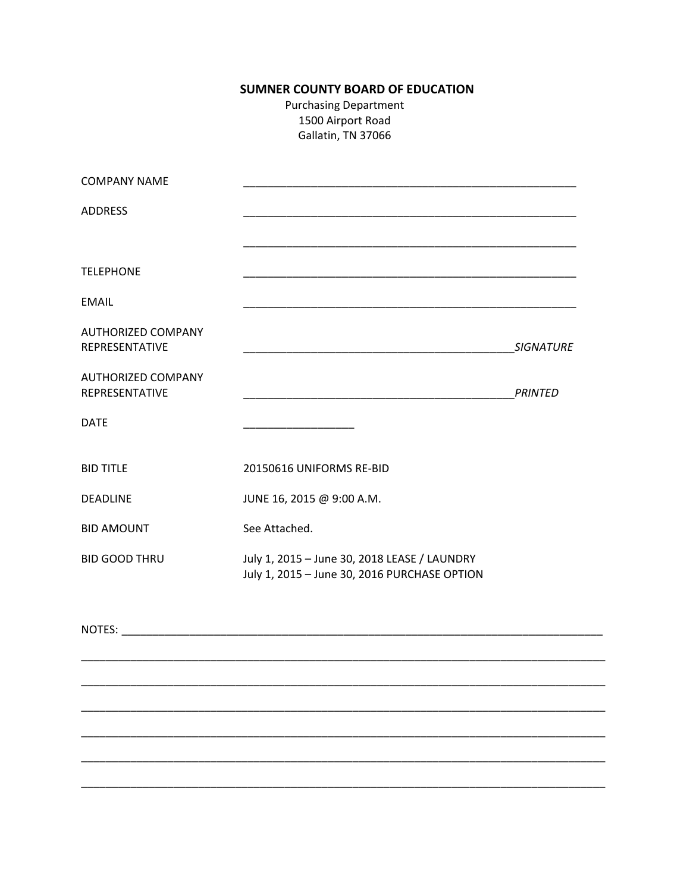## **SUMNER COUNTY BOARD OF EDUCATION**

**Purchasing Department** 1500 Airport Road Gallatin, TN 37066

| <b>COMPANY NAME</b>                         |                                                                                                                                                                                                                                |                |
|---------------------------------------------|--------------------------------------------------------------------------------------------------------------------------------------------------------------------------------------------------------------------------------|----------------|
| <b>ADDRESS</b>                              | <u> 1989 - Johann Stein, marwolaethau a bhann an t-Amhain an t-Amhain an t-Amhain an t-Amhain an t-Amhain an t-A</u>                                                                                                           |                |
|                                             |                                                                                                                                                                                                                                |                |
| <b>TELEPHONE</b>                            |                                                                                                                                                                                                                                |                |
| <b>EMAIL</b>                                |                                                                                                                                                                                                                                |                |
| <b>AUTHORIZED COMPANY</b><br>REPRESENTATIVE |                                                                                                                                                                                                                                | SIGNATURE      |
| <b>AUTHORIZED COMPANY</b><br>REPRESENTATIVE |                                                                                                                                                                                                                                | <b>PRINTED</b> |
| <b>DATE</b>                                 |                                                                                                                                                                                                                                |                |
| <b>BID TITLE</b>                            | 20150616 UNIFORMS RE-BID                                                                                                                                                                                                       |                |
| <b>DEADLINE</b>                             | JUNE 16, 2015 @ 9:00 A.M.                                                                                                                                                                                                      |                |
| <b>BID AMOUNT</b>                           | See Attached.                                                                                                                                                                                                                  |                |
| <b>BID GOOD THRU</b>                        | July 1, 2015 - June 30, 2018 LEASE / LAUNDRY<br>July 1, 2015 - June 30, 2016 PURCHASE OPTION                                                                                                                                   |                |
|                                             | NOTES: WE ARREST AND THE RESIDENCE OF A STRUCK CONTROL IN THE RESIDENCE OF A STRUCK CONTROL IN THE RESIDENCE OF A STRUCK CONTROL IN THE RESIDENCE OF A STRUCK CONTROL IN THE RESIDENCE OF A STRUCK CONTROL IN THE RESIDENCE OF |                |
|                                             |                                                                                                                                                                                                                                |                |
|                                             |                                                                                                                                                                                                                                |                |
|                                             |                                                                                                                                                                                                                                |                |
|                                             |                                                                                                                                                                                                                                |                |
|                                             |                                                                                                                                                                                                                                |                |